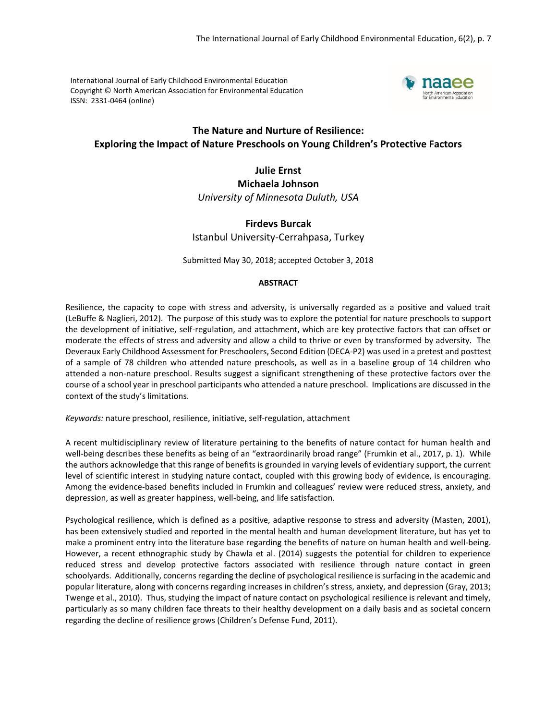International Journal of Early Childhood Environmental Education Copyright © North American Association for Environmental Education ISSN: 2331-0464 (online)



# **The Nature and Nurture of Resilience: Exploring the Impact of Nature Preschools on Young Children's Protective Factors**

**Julie Ernst Michaela Johnson** *University of Minnesota Duluth, USA*

# **Firdevs Burcak** Istanbul University-Cerrahpasa, Turkey

Submitted May 30, 2018; accepted October 3, 2018

# **ABSTRACT**

Resilience, the capacity to cope with stress and adversity, is universally regarded as a positive and valued trait (LeBuffe & Naglieri, 2012). The purpose of this study was to explore the potential for nature preschools to support the development of initiative, self-regulation, and attachment, which are key protective factors that can offset or moderate the effects of stress and adversity and allow a child to thrive or even by transformed by adversity. The Deveraux Early Childhood Assessment for Preschoolers, Second Edition (DECA-P2) was used in a pretest and posttest of a sample of 78 children who attended nature preschools, as well as in a baseline group of 14 children who attended a non-nature preschool. Results suggest a significant strengthening of these protective factors over the course of a school year in preschool participants who attended a nature preschool. Implications are discussed in the context of the study's limitations.

*Keywords:* nature preschool, resilience, initiative, self-regulation, attachment

A recent multidisciplinary review of literature pertaining to the benefits of nature contact for human health and well-being describes these benefits as being of an "extraordinarily broad range" (Frumkin et al., 2017, p. 1). While the authors acknowledge that this range of benefits is grounded in varying levels of evidentiary support, the current level of scientific interest in studying nature contact, coupled with this growing body of evidence, is encouraging. Among the evidence-based benefits included in Frumkin and colleagues' review were reduced stress, anxiety, and depression, as well as greater happiness, well-being, and life satisfaction.

Psychological resilience, which is defined as a positive, adaptive response to stress and adversity (Masten, 2001), has been extensively studied and reported in the mental health and human development literature, but has yet to make a prominent entry into the literature base regarding the benefits of nature on human health and well-being. However, a recent ethnographic study by Chawla et al. (2014) suggests the potential for children to experience reduced stress and develop protective factors associated with resilience through nature contact in green schoolyards. Additionally, concerns regarding the decline of psychological resilience is surfacing in the academic and popular literature, along with concerns regarding increases in children's stress, anxiety, and depression (Gray, 2013; Twenge et al., 2010). Thus, studying the impact of nature contact on psychological resilience is relevant and timely, particularly as so many children face threats to their healthy development on a daily basis and as societal concern regarding the decline of resilience grows (Children's Defense Fund, 2011).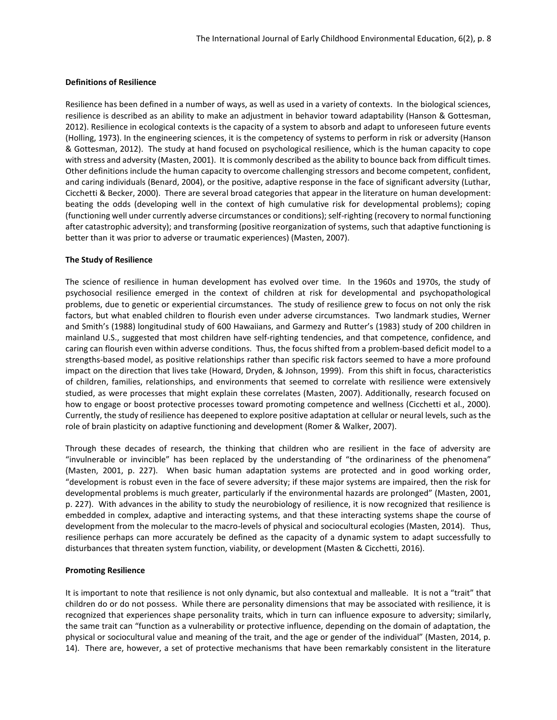## **Definitions of Resilience**

Resilience has been defined in a number of ways, as well as used in a variety of contexts. In the biological sciences, resilience is described as an ability to make an adjustment in behavior toward adaptability (Hanson & Gottesman, 2012). Resilience in ecological contexts is the capacity of a system to absorb and adapt to unforeseen future events (Holling, 1973). In the engineering sciences, it is the competency of systems to perform in risk or adversity (Hanson & Gottesman, 2012). The study at hand focused on psychological resilience, which is the human capacity to cope with stress and adversity (Masten, 2001). It is commonly described as the ability to bounce back from difficult times. Other definitions include the human capacity to overcome challenging stressors and become competent, confident, and caring individuals (Benard, 2004), or the positive, adaptive response in the face of significant adversity (Luthar, Cicchetti & Becker, 2000). There are several broad categories that appear in the literature on human development: beating the odds (developing well in the context of high cumulative risk for developmental problems); coping (functioning well under currently adverse circumstances or conditions); self-righting (recovery to normal functioning after catastrophic adversity); and transforming (positive reorganization of systems, such that adaptive functioning is better than it was prior to adverse or traumatic experiences) (Masten, 2007).

# **The Study of Resilience**

The science of resilience in human development has evolved over time. In the 1960s and 1970s, the study of psychosocial resilience emerged in the context of children at risk for developmental and psychopathological problems, due to genetic or experiential circumstances. The study of resilience grew to focus on not only the risk factors, but what enabled children to flourish even under adverse circumstances. Two landmark studies, Werner and Smith's (1988) longitudinal study of 600 Hawaiians, and Garmezy and Rutter's (1983) study of 200 children in mainland U.S., suggested that most children have self-righting tendencies, and that competence, confidence, and caring can flourish even within adverse conditions. Thus, the focus shifted from a problem-based deficit model to a strengths-based model, as positive relationships rather than specific risk factors seemed to have a more profound impact on the direction that lives take (Howard, Dryden, & Johnson, 1999). From this shift in focus, characteristics of children, families, relationships, and environments that seemed to correlate with resilience were extensively studied, as were processes that might explain these correlates (Masten, 2007). Additionally, research focused on how to engage or boost protective processes toward promoting competence and wellness (Cicchetti et al., 2000). Currently, the study of resilience has deepened to explore positive adaptation at cellular or neural levels, such as the role of brain plasticity on adaptive functioning and development (Romer & Walker, 2007).

Through these decades of research, the thinking that children who are resilient in the face of adversity are "invulnerable or invincible" has been replaced by the understanding of "the ordinariness of the phenomena" (Masten, 2001, p. 227). When basic human adaptation systems are protected and in good working order, "development is robust even in the face of severe adversity; if these major systems are impaired, then the risk for developmental problems is much greater, particularly if the environmental hazards are prolonged" (Masten, 2001, p. 227). With advances in the ability to study the neurobiology of resilience, it is now recognized that resilience is embedded in complex, adaptive and interacting systems, and that these interacting systems shape the course of development from the molecular to the macro-levels of physical and sociocultural ecologies (Masten, 2014). Thus, resilience perhaps can more accurately be defined as the capacity of a dynamic system to adapt successfully to disturbances that threaten system function, viability, or development (Masten & Cicchetti, 2016).

## **Promoting Resilience**

It is important to note that resilience is not only dynamic, but also contextual and malleable. It is not a "trait" that children do or do not possess. While there are personality dimensions that may be associated with resilience, it is recognized that experiences shape personality traits, which in turn can influence exposure to adversity; similarly, the same trait can "function as a vulnerability or protective influence, depending on the domain of adaptation, the physical or sociocultural value and meaning of the trait, and the age or gender of the individual" (Masten, 2014, p. 14). There are, however, a set of protective mechanisms that have been remarkably consistent in the literature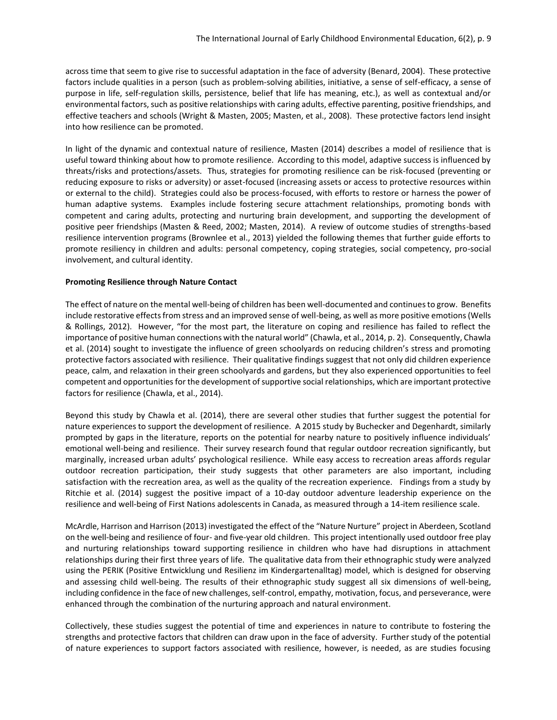across time that seem to give rise to successful adaptation in the face of adversity (Benard, 2004). These protective factors include qualities in a person (such as problem-solving abilities, initiative, a sense of self-efficacy, a sense of purpose in life, self-regulation skills, persistence, belief that life has meaning, etc.), as well as contextual and/or environmental factors, such as positive relationships with caring adults, effective parenting, positive friendships, and effective teachers and schools (Wright & Masten, 2005; Masten, et al., 2008). These protective factors lend insight into how resilience can be promoted.

In light of the dynamic and contextual nature of resilience, Masten (2014) describes a model of resilience that is useful toward thinking about how to promote resilience. According to this model, adaptive success is influenced by threats/risks and protections/assets. Thus, strategies for promoting resilience can be risk-focused (preventing or reducing exposure to risks or adversity) or asset-focused (increasing assets or access to protective resources within or external to the child). Strategies could also be process-focused, with efforts to restore or harness the power of human adaptive systems. Examples include fostering secure attachment relationships, promoting bonds with competent and caring adults, protecting and nurturing brain development, and supporting the development of positive peer friendships (Masten & Reed, 2002; Masten, 2014). A review of outcome studies of strengths-based resilience intervention programs (Brownlee et al., 2013) yielded the following themes that further guide efforts to promote resiliency in children and adults: personal competency, coping strategies, social competency, pro-social involvement, and cultural identity.

## **Promoting Resilience through Nature Contact**

The effect of nature on the mental well-being of children has been well-documented and continues to grow. Benefits include restorative effects from stress and an improved sense of well-being, as well as more positive emotions (Wells & Rollings, 2012). However, "for the most part, the literature on coping and resilience has failed to reflect the importance of positive human connections with the natural world" (Chawla, et al., 2014, p. 2). Consequently, Chawla et al. (2014) sought to investigate the influence of green schoolyards on reducing children's stress and promoting protective factors associated with resilience. Their qualitative findings suggest that not only did children experience peace, calm, and relaxation in their green schoolyards and gardens, but they also experienced opportunities to feel competent and opportunities for the development of supportive social relationships, which are important protective factors for resilience (Chawla, et al., 2014).

Beyond this study by Chawla et al. (2014), there are several other studies that further suggest the potential for nature experiences to support the development of resilience. A 2015 study by Buchecker and Degenhardt, similarly prompted by gaps in the literature, reports on the potential for nearby nature to positively influence individuals' emotional well-being and resilience. Their survey research found that regular outdoor recreation significantly, but marginally, increased urban adults' psychological resilience. While easy access to recreation areas affords regular outdoor recreation participation, their study suggests that other parameters are also important, including satisfaction with the recreation area, as well as the quality of the recreation experience. Findings from a study by Ritchie et al. (2014) suggest the positive impact of a 10-day outdoor adventure leadership experience on the resilience and well-being of First Nations adolescents in Canada, as measured through a 14-item resilience scale.

McArdle, Harrison and Harrison (2013) investigated the effect of the "Nature Nurture" project in Aberdeen, Scotland on the well-being and resilience of four- and five-year old children. This project intentionally used outdoor free play and nurturing relationships toward supporting resilience in children who have had disruptions in attachment relationships during their first three years of life. The qualitative data from their ethnographic study were analyzed using the PERIK (Positive Entwicklung und Resilienz im Kindergartenalltag) model, which is designed for observing and assessing child well-being. The results of their ethnographic study suggest all six dimensions of well-being, including confidence in the face of new challenges, self-control, empathy, motivation, focus, and perseverance, were enhanced through the combination of the nurturing approach and natural environment.

Collectively, these studies suggest the potential of time and experiences in nature to contribute to fostering the strengths and protective factors that children can draw upon in the face of adversity. Further study of the potential of nature experiences to support factors associated with resilience, however, is needed, as are studies focusing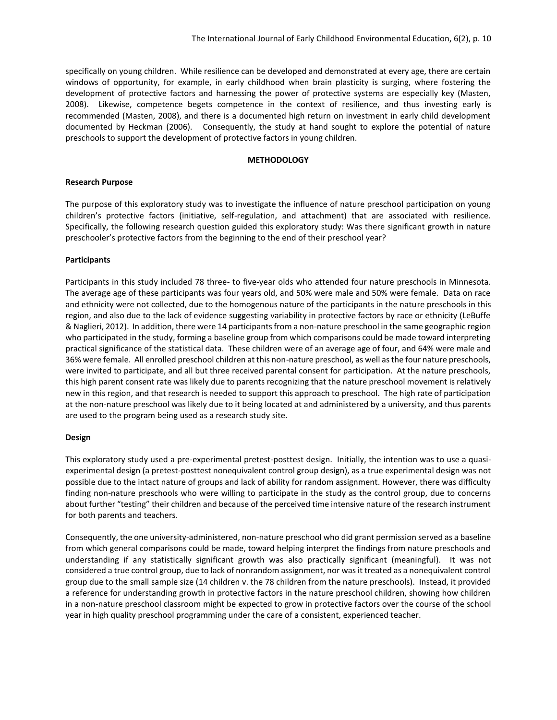specifically on young children. While resilience can be developed and demonstrated at every age, there are certain windows of opportunity, for example, in early childhood when brain plasticity is surging, where fostering the development of protective factors and harnessing the power of protective systems are especially key (Masten, 2008). Likewise, competence begets competence in the context of resilience, and thus investing early is recommended (Masten, 2008), and there is a documented high return on investment in early child development documented by Heckman (2006). Consequently, the study at hand sought to explore the potential of nature preschools to support the development of protective factors in young children.

#### **METHODOLOGY**

#### **Research Purpose**

The purpose of this exploratory study was to investigate the influence of nature preschool participation on young children's protective factors (initiative, self-regulation, and attachment) that are associated with resilience. Specifically, the following research question guided this exploratory study: Was there significant growth in nature preschooler's protective factors from the beginning to the end of their preschool year?

## **Participants**

Participants in this study included 78 three- to five-year olds who attended four nature preschools in Minnesota. The average age of these participants was four years old, and 50% were male and 50% were female. Data on race and ethnicity were not collected, due to the homogenous nature of the participants in the nature preschools in this region, and also due to the lack of evidence suggesting variability in protective factors by race or ethnicity (LeBuffe & Naglieri, 2012). In addition, there were 14 participants from a non-nature preschool in the same geographic region who participated in the study, forming a baseline group from which comparisons could be made toward interpreting practical significance of the statistical data. These children were of an average age of four, and 64% were male and 36% were female. All enrolled preschool children at this non-nature preschool, as well as the four nature preschools, were invited to participate, and all but three received parental consent for participation. At the nature preschools, this high parent consent rate was likely due to parents recognizing that the nature preschool movement is relatively new in this region, and that research is needed to support this approach to preschool. The high rate of participation at the non-nature preschool was likely due to it being located at and administered by a university, and thus parents are used to the program being used as a research study site.

#### **Design**

This exploratory study used a pre-experimental pretest-posttest design. Initially, the intention was to use a quasiexperimental design (a pretest-posttest nonequivalent control group design), as a true experimental design was not possible due to the intact nature of groups and lack of ability for random assignment. However, there was difficulty finding non-nature preschools who were willing to participate in the study as the control group, due to concerns about further "testing" their children and because of the perceived time intensive nature of the research instrument for both parents and teachers.

Consequently, the one university-administered, non-nature preschool who did grant permission served as a baseline from which general comparisons could be made, toward helping interpret the findings from nature preschools and understanding if any statistically significant growth was also practically significant (meaningful). It was not considered a true control group, due to lack of nonrandom assignment, nor was it treated as a nonequivalent control group due to the small sample size (14 children v. the 78 children from the nature preschools). Instead, it provided a reference for understanding growth in protective factors in the nature preschool children, showing how children in a non-nature preschool classroom might be expected to grow in protective factors over the course of the school year in high quality preschool programming under the care of a consistent, experienced teacher.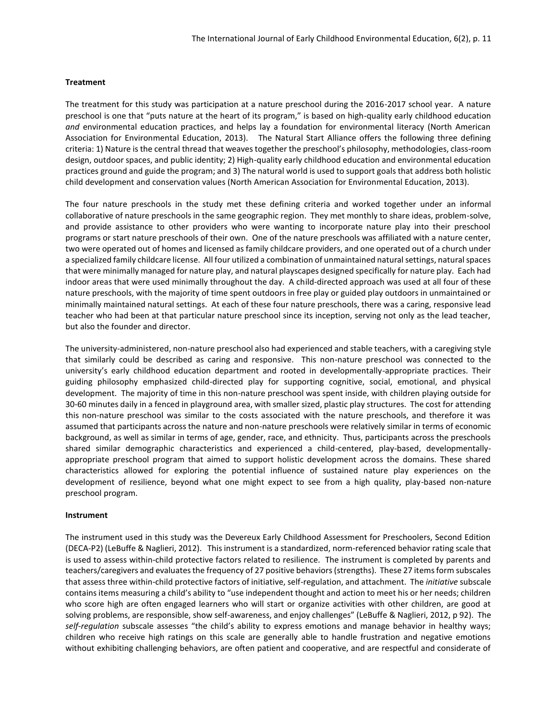# **Treatment**

The treatment for this study was participation at a nature preschool during the 2016-2017 school year. A nature preschool is one that "puts nature at the heart of its program," is based on high-quality early childhood education *and* environmental education practices, and helps lay a foundation for environmental literacy (North American Association for Environmental Education, 2013). The Natural Start Alliance offers the following three defining criteria: 1) Nature is the central thread that weaves together the preschool's philosophy, methodologies, class-room design, outdoor spaces, and public identity; 2) High-quality early childhood education and environmental education practices ground and guide the program; and 3) The natural world is used to support goals that address both holistic child development and conservation values (North American Association for Environmental Education, 2013).

The four nature preschools in the study met these defining criteria and worked together under an informal collaborative of nature preschools in the same geographic region. They met monthly to share ideas, problem-solve, and provide assistance to other providers who were wanting to incorporate nature play into their preschool programs or start nature preschools of their own. One of the nature preschools was affiliated with a nature center, two were operated out of homes and licensed as family childcare providers, and one operated out of a church under a specialized family childcare license. All four utilized a combination of unmaintained natural settings, natural spaces that were minimally managed for nature play, and natural playscapes designed specifically for nature play. Each had indoor areas that were used minimally throughout the day. A child-directed approach was used at all four of these nature preschools, with the majority of time spent outdoors in free play or guided play outdoors in unmaintained or minimally maintained natural settings. At each of these four nature preschools, there was a caring, responsive lead teacher who had been at that particular nature preschool since its inception, serving not only as the lead teacher, but also the founder and director.

The university-administered, non-nature preschool also had experienced and stable teachers, with a caregiving style that similarly could be described as caring and responsive. This non-nature preschool was connected to the university's early childhood education department and rooted in developmentally-appropriate practices. Their guiding philosophy emphasized child-directed play for supporting cognitive, social, emotional, and physical development. The majority of time in this non-nature preschool was spent inside, with children playing outside for 30-60 minutes daily in a fenced in playground area, with smaller sized, plastic play structures. The cost for attending this non-nature preschool was similar to the costs associated with the nature preschools, and therefore it was assumed that participants across the nature and non-nature preschools were relatively similar in terms of economic background, as well as similar in terms of age, gender, race, and ethnicity. Thus, participants across the preschools shared similar demographic characteristics and experienced a child-centered, play-based, developmentallyappropriate preschool program that aimed to support holistic development across the domains. These shared characteristics allowed for exploring the potential influence of sustained nature play experiences on the development of resilience, beyond what one might expect to see from a high quality, play-based non-nature preschool program.

## **Instrument**

The instrument used in this study was the Devereux Early Childhood Assessment for Preschoolers, Second Edition (DECA-P2) (LeBuffe & Naglieri, 2012). This instrument is a standardized, norm-referenced behavior rating scale that is used to assess within-child protective factors related to resilience. The instrument is completed by parents and teachers/caregivers and evaluates the frequency of 27 positive behaviors (strengths). These 27 items form subscales that assess three within-child protective factors of initiative, self-regulation, and attachment. The *initiative* subscale contains items measuring a child's ability to "use independent thought and action to meet his or her needs; children who score high are often engaged learners who will start or organize activities with other children, are good at solving problems, are responsible, show self-awareness, and enjoy challenges" (LeBuffe & Naglieri, 2012, p 92). The *self-regulation* subscale assesses "the child's ability to express emotions and manage behavior in healthy ways; children who receive high ratings on this scale are generally able to handle frustration and negative emotions without exhibiting challenging behaviors, are often patient and cooperative, and are respectful and considerate of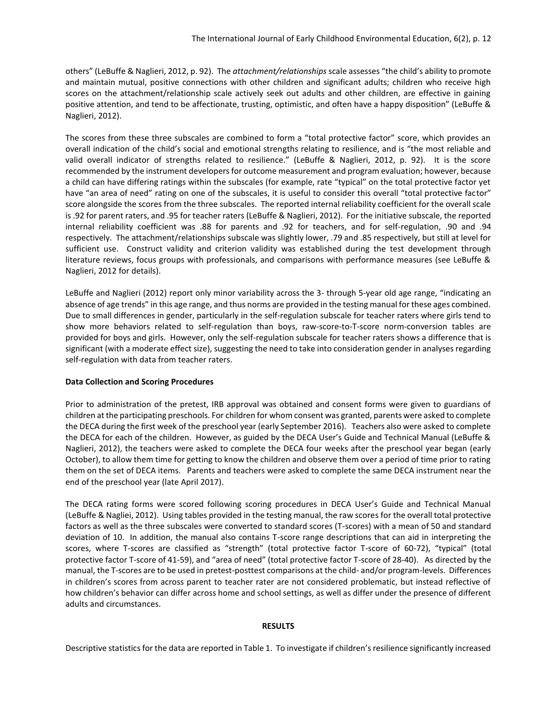others" (LeBuffe & Naglieri, 2012, p. 92). The *attachment/relationships* scale assesses "the child's ability to promote and maintain mutual, positive connections with other children and significant adults; children who receive high scores on the attachment/relationship scale actively seek out adults and other children, are effective in gaining positive attention, and tend to be affectionate, trusting, optimistic, and often have a happy disposition" (LeBuffe & Naglieri, 2012).

The scores from these three subscales are combined to form a "total protective factor" score, which provides an overall indication of the child's social and emotional strengths relating to resilience, and is "the most reliable and valid overall indicator of strengths related to resilience." (LeBuffe & Naglieri, 2012, p. 92). It is the score recommended by the instrument developers for outcome measurement and program evaluation; however, because a child can have differing ratings within the subscales (for example, rate "typical" on the total protective factor yet have "an area of need" rating on one of the subscales, it is useful to consider this overall "total protective factor" score alongside the scores from the three subscales. The reported internal reliability coefficient for the overall scale is .92 for parent raters, and .95 for teacher raters (LeBuffe & Naglieri, 2012). For the initiative subscale, the reported internal reliability coefficient was .88 for parents and .92 for teachers, and for self-regulation, .90 and .94 respectively. The attachment/relationships subscale was slightly lower, .79 and .85 respectively, but still at level for sufficient use. Construct validity and criterion validity was established during the test development through literature reviews, focus groups with professionals, and comparisons with performance measures (see LeBuffe & Naglieri, 2012 for details).

LeBuffe and Naglieri (2012) report only minor variability across the 3- through 5-year old age range, "indicating an absence of age trends" in this age range, and thus norms are provided in the testing manual for these ages combined. Due to small differences in gender, particularly in the self-regulation subscale for teacher raters where girls tend to show more behaviors related to self-regulation than boys, raw-score-to-T-score norm-conversion tables are provided for boys and girls. However, only the self-regulation subscale for teacher raters shows a difference that is significant (with a moderate effect size), suggesting the need to take into consideration gender in analyses regarding self-regulation with data from teacher raters.

## **Data Collection and Scoring Procedures**

Prior to administration of the pretest, IRB approval was obtained and consent forms were given to guardians of children at the participating preschools. For children for whom consent was granted, parents were asked to complete the DECA during the first week of the preschool year (early September 2016). Teachers also were asked to complete the DECA for each of the children. However, as guided by the DECA User's Guide and Technical Manual (LeBuffe & Naglieri, 2012), the teachers were asked to complete the DECA four weeks after the preschool year began (early October), to allow them time for getting to know the children and observe them over a period of time prior to rating them on the set of DECA items. Parents and teachers were asked to complete the same DECA instrument near the end of the preschool year (late April 2017).

The DECA rating forms were scored following scoring procedures in DECA User's Guide and Technical Manual (LeBuffe & Nagliei, 2012). Using tables provided in the testing manual, the raw scores for the overall total protective factors as well as the three subscales were converted to standard scores (T-scores) with a mean of 50 and standard deviation of 10. In addition, the manual also contains T-score range descriptions that can aid in interpreting the scores, where T-scores are classified as "strength" (total protective factor T-score of 60-72), "typical" (total protective factor T-score of 41-59), and "area of need" (total protective factor T-score of 28-40). As directed by the manual, the T-scores are to be used in pretest-posttest comparisons at the child- and/or program-levels. Differences in children's scores from across parent to teacher rater are not considered problematic, but instead reflective of how children's behavior can differ across home and school settings, as well as differ under the presence of different adults and circumstances.

## **RESULTS**

Descriptive statistics for the data are reported in Table 1. To investigate if children's resilience significantly increased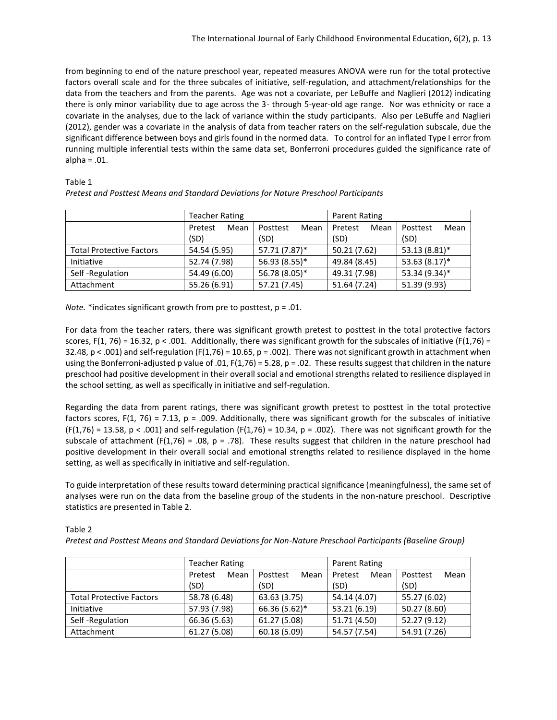from beginning to end of the nature preschool year, repeated measures ANOVA were run for the total protective factors overall scale and for the three subcales of initiative, self-regulation, and attachment/relationships for the data from the teachers and from the parents. Age was not a covariate, per LeBuffe and Naglieri (2012) indicating there is only minor variability due to age across the 3- through 5-year-old age range. Nor was ethnicity or race a covariate in the analyses, due to the lack of variance within the study participants. Also per LeBuffe and Naglieri (2012), gender was a covariate in the analysis of data from teacher raters on the self-regulation subscale, due the significant difference between boys and girls found in the normed data. To control for an inflated Type I error from running multiple inferential tests within the same data set, Bonferroni procedures guided the significance rate of alpha = .01.

Table 1

|                                 | Teacher Rating  |                  | Parent Rating   |                  |
|---------------------------------|-----------------|------------------|-----------------|------------------|
|                                 | Mean<br>Pretest | Mean<br>Posttest | Pretest<br>Mean | Mean<br>Posttest |
|                                 | (SD)            | (SD)             | (SD)            | (SD)             |
| <b>Total Protective Factors</b> | 54.54 (5.95)    | 57.71 (7.87)*    | 50.21 (7.62)    | 53.13 (8.81)*    |
| Initiative                      | 52.74 (7.98)    | 56.93 (8.55)*    | 49.84 (8.45)    | $53.63(8.17)^*$  |
| Self-Regulation                 | 54.49 (6.00)    | 56.78 (8.05)*    | 49.31 (7.98)    | 53.34 (9.34)*    |
| Attachment                      | 55.26 (6.91)    | 57.21 (7.45)     | 51.64 (7.24)    | 51.39 (9.93)     |

*Pretest and Posttest Means and Standard Deviations for Nature Preschool Participants*

*Note.* \*indicates significant growth from pre to posttest, p = .01.

For data from the teacher raters, there was significant growth pretest to posttest in the total protective factors scores,  $F(1, 76) = 16.32$ ,  $p < .001$ . Additionally, there was significant growth for the subscales of initiative ( $F(1,76) =$ 32.48,  $p < .001$  and self-regulation (F(1,76) = 10.65,  $p = .002$ ). There was not significant growth in attachment when using the Bonferroni-adjusted p value of .01,  $F(1,76) = 5.28$ ,  $p = .02$ . These results suggest that children in the nature preschool had positive development in their overall social and emotional strengths related to resilience displayed in the school setting, as well as specifically in initiative and self-regulation.

Regarding the data from parent ratings, there was significant growth pretest to posttest in the total protective factors scores,  $F(1, 76) = 7.13$ ,  $p = .009$ . Additionally, there was significant growth for the subscales of initiative  $(F(1,76) = 13.58, p < .001)$  and self-regulation  $(F(1,76) = 10.34, p = .002)$ . There was not significant growth for the subscale of attachment (F(1,76) = .08, p = .78). These results suggest that children in the nature preschool had positive development in their overall social and emotional strengths related to resilience displayed in the home setting, as well as specifically in initiative and self-regulation.

To guide interpretation of these results toward determining practical significance (meaningfulness), the same set of analyses were run on the data from the baseline group of the students in the non-nature preschool. Descriptive statistics are presented in Table 2.

Table 2

*Pretest and Posttest Means and Standard Deviations for Non-Nature Preschool Participants (Baseline Group)*

|                                 | <b>Teacher Rating</b>   |                          | Parent Rating           |                          |
|---------------------------------|-------------------------|--------------------------|-------------------------|--------------------------|
|                                 | Pretest<br>Mean<br>(SD) | Posttest<br>Mean<br>(SD) | Pretest<br>Mean<br>(SD) | Mean<br>Posttest<br>(SD) |
| <b>Total Protective Factors</b> | 58.78 (6.48)            | 63.63 (3.75)             | 54.14 (4.07)            | 55.27 (6.02)             |
| Initiative                      | 57.93 (7.98)            | 66.36 (5.62)*            | 53.21 (6.19)            | 50.27 (8.60)             |
| Self-Regulation                 | 66.36 (5.63)            | 61.27 (5.08)             | 51.71 (4.50)            | 52.27 (9.12)             |
| Attachment                      | 61.27 (5.08)            | 60.18 (5.09)             | 54.57 (7.54)            | 54.91 (7.26)             |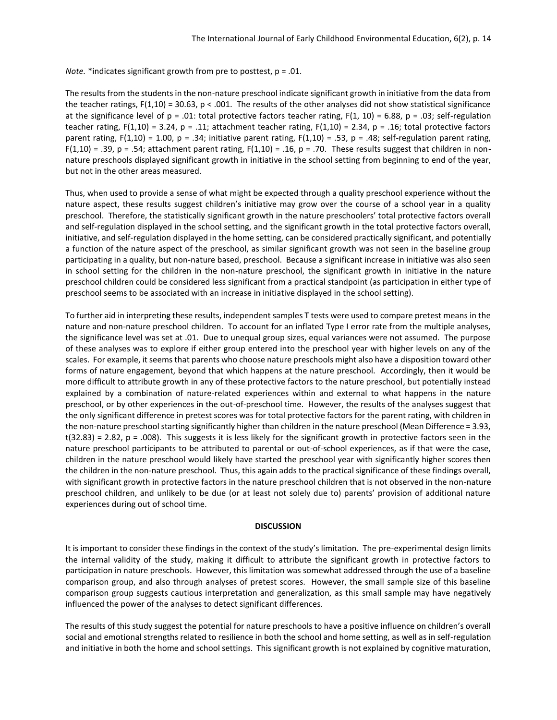*Note.* \*indicates significant growth from pre to posttest, p = .01.

The results from the students in the non-nature preschool indicate significant growth in initiative from the data from the teacher ratings,  $F(1,10) = 30.63$ ,  $p < .001$ . The results of the other analyses did not show statistical significance at the significance level of  $p = .01$ : total protective factors teacher rating,  $F(1, 10) = 6.88$ ,  $p = .03$ ; self-regulation teacher rating,  $F(1,10) = 3.24$ , p = .11; attachment teacher rating,  $F(1,10) = 2.34$ , p = .16; total protective factors parent rating, F(1,10) = 1.00, p = .34; initiative parent rating, F(1,10) = .53, p = .48; self-regulation parent rating, F(1,10) = .39, p = .54; attachment parent rating, F(1,10) = .16, p = .70. These results suggest that children in nonnature preschools displayed significant growth in initiative in the school setting from beginning to end of the year, but not in the other areas measured.

Thus, when used to provide a sense of what might be expected through a quality preschool experience without the nature aspect, these results suggest children's initiative may grow over the course of a school year in a quality preschool. Therefore, the statistically significant growth in the nature preschoolers' total protective factors overall and self-regulation displayed in the school setting, and the significant growth in the total protective factors overall, initiative, and self-regulation displayed in the home setting, can be considered practically significant, and potentially a function of the nature aspect of the preschool, as similar significant growth was not seen in the baseline group participating in a quality, but non-nature based, preschool. Because a significant increase in initiative was also seen in school setting for the children in the non-nature preschool, the significant growth in initiative in the nature preschool children could be considered less significant from a practical standpoint (as participation in either type of preschool seems to be associated with an increase in initiative displayed in the school setting).

To further aid in interpreting these results, independent samples T tests were used to compare pretest means in the nature and non-nature preschool children. To account for an inflated Type I error rate from the multiple analyses, the significance level was set at .01. Due to unequal group sizes, equal variances were not assumed. The purpose of these analyses was to explore if either group entered into the preschool year with higher levels on any of the scales. For example, it seems that parents who choose nature preschools might also have a disposition toward other forms of nature engagement, beyond that which happens at the nature preschool. Accordingly, then it would be more difficult to attribute growth in any of these protective factors to the nature preschool, but potentially instead explained by a combination of nature-related experiences within and external to what happens in the nature preschool, or by other experiences in the out-of-preschool time. However, the results of the analyses suggest that the only significant difference in pretest scores was for total protective factors for the parent rating, with children in the non-nature preschool starting significantly higher than children in the nature preschool (Mean Difference = 3.93,  $t(32.83) = 2.82$ ,  $p = .008$ ). This suggests it is less likely for the significant growth in protective factors seen in the nature preschool participants to be attributed to parental or out-of-school experiences, as if that were the case, children in the nature preschool would likely have started the preschool year with significantly higher scores then the children in the non-nature preschool. Thus, this again adds to the practical significance of these findings overall, with significant growth in protective factors in the nature preschool children that is not observed in the non-nature preschool children, and unlikely to be due (or at least not solely due to) parents' provision of additional nature experiences during out of school time.

#### **DISCUSSION**

It is important to consider these findings in the context of the study's limitation. The pre-experimental design limits the internal validity of the study, making it difficult to attribute the significant growth in protective factors to participation in nature preschools. However, this limitation was somewhat addressed through the use of a baseline comparison group, and also through analyses of pretest scores. However, the small sample size of this baseline comparison group suggests cautious interpretation and generalization, as this small sample may have negatively influenced the power of the analyses to detect significant differences.

The results of this study suggest the potential for nature preschools to have a positive influence on children's overall social and emotional strengths related to resilience in both the school and home setting, as well as in self-regulation and initiative in both the home and school settings. This significant growth is not explained by cognitive maturation,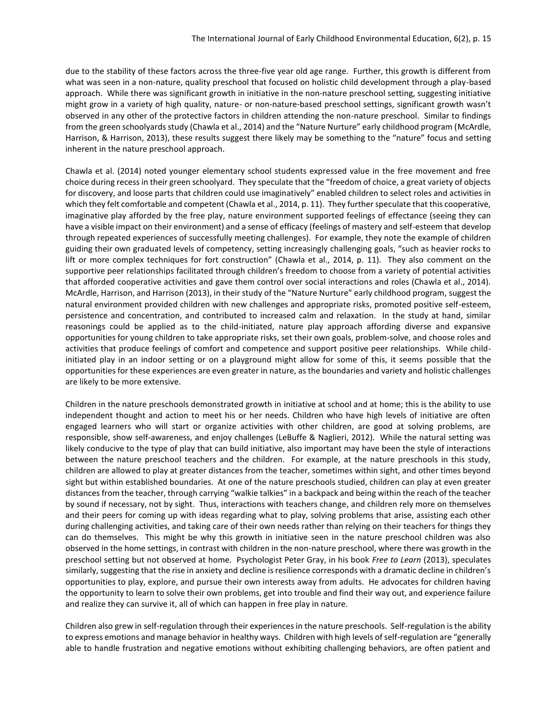due to the stability of these factors across the three-five year old age range. Further, this growth is different from what was seen in a non-nature, quality preschool that focused on holistic child development through a play-based approach. While there was significant growth in initiative in the non-nature preschool setting, suggesting initiative might grow in a variety of high quality, nature- or non-nature-based preschool settings, significant growth wasn't observed in any other of the protective factors in children attending the non-nature preschool. Similar to findings from the green schoolyards study (Chawla et al., 2014) and the "Nature Nurture" early childhood program (McArdle, Harrison, & Harrison, 2013), these results suggest there likely may be something to the "nature" focus and setting inherent in the nature preschool approach.

Chawla et al. (2014) noted younger elementary school students expressed value in the free movement and free choice during recess in their green schoolyard. They speculate that the "freedom of choice, a great variety of objects for discovery, and loose parts that children could use imaginatively" enabled children to select roles and activities in which they felt comfortable and competent (Chawla et al., 2014, p. 11). They further speculate that this cooperative, imaginative play afforded by the free play, nature environment supported feelings of effectance (seeing they can have a visible impact on their environment) and a sense of efficacy (feelings of mastery and self-esteem that develop through repeated experiences of successfully meeting challenges). For example, they note the example of children guiding their own graduated levels of competency, setting increasingly challenging goals, "such as heavier rocks to lift or more complex techniques for fort construction" (Chawla et al., 2014, p. 11). They also comment on the supportive peer relationships facilitated through children's freedom to choose from a variety of potential activities that afforded cooperative activities and gave them control over social interactions and roles (Chawla et al., 2014). McArdle, Harrison, and Harrison (2013), in their study of the "Nature Nurture" early childhood program, suggest the natural environment provided children with new challenges and appropriate risks, promoted positive self-esteem, persistence and concentration, and contributed to increased calm and relaxation. In the study at hand, similar reasonings could be applied as to the child-initiated, nature play approach affording diverse and expansive opportunities for young children to take appropriate risks, set their own goals, problem-solve, and choose roles and activities that produce feelings of comfort and competence and support positive peer relationships. While childinitiated play in an indoor setting or on a playground might allow for some of this, it seems possible that the opportunities for these experiences are even greater in nature, as the boundaries and variety and holistic challenges are likely to be more extensive.

Children in the nature preschools demonstrated growth in initiative at school and at home; this is the ability to use independent thought and action to meet his or her needs. Children who have high levels of initiative are often engaged learners who will start or organize activities with other children, are good at solving problems, are responsible, show self-awareness, and enjoy challenges (LeBuffe & Naglieri, 2012). While the natural setting was likely conducive to the type of play that can build initiative, also important may have been the style of interactions between the nature preschool teachers and the children. For example, at the nature preschools in this study, children are allowed to play at greater distances from the teacher, sometimes within sight, and other times beyond sight but within established boundaries. At one of the nature preschools studied, children can play at even greater distances from the teacher, through carrying "walkie talkies" in a backpack and being within the reach of the teacher by sound if necessary, not by sight. Thus, interactions with teachers change, and children rely more on themselves and their peers for coming up with ideas regarding what to play, solving problems that arise, assisting each other during challenging activities, and taking care of their own needs rather than relying on their teachers for things they can do themselves. This might be why this growth in initiative seen in the nature preschool children was also observed in the home settings, in contrast with children in the non-nature preschool, where there was growth in the preschool setting but not observed at home. Psychologist Peter Gray, in his book *Free to Learn* (2013), speculates similarly, suggesting that the rise in anxiety and decline is resilience corresponds with a dramatic decline in children's opportunities to play, explore, and pursue their own interests away from adults. He advocates for children having the opportunity to learn to solve their own problems, get into trouble and find their way out, and experience failure and realize they can survive it, all of which can happen in free play in nature.

Children also grew in self-regulation through their experiences in the nature preschools. Self-regulation is the ability to express emotions and manage behavior in healthy ways. Children with high levels of self-regulation are "generally able to handle frustration and negative emotions without exhibiting challenging behaviors, are often patient and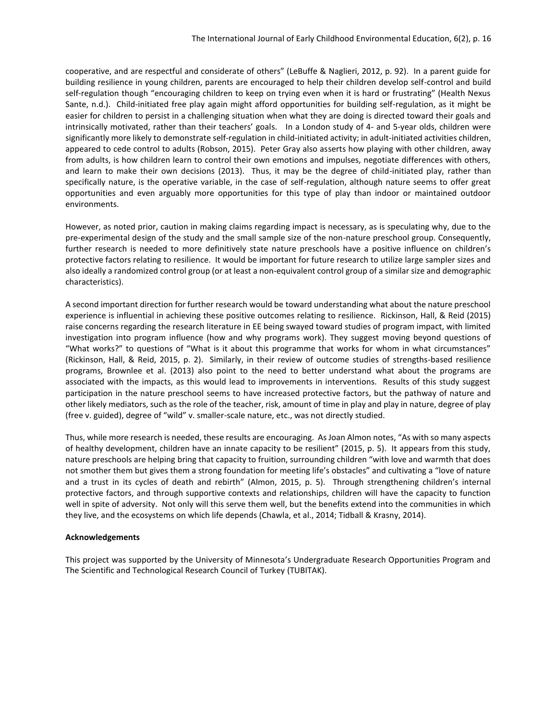cooperative, and are respectful and considerate of others" (LeBuffe & Naglieri, 2012, p. 92). In a parent guide for building resilience in young children, parents are encouraged to help their children develop self-control and build self-regulation though "encouraging children to keep on trying even when it is hard or frustrating" (Health Nexus Sante, n.d.). Child-initiated free play again might afford opportunities for building self-regulation, as it might be easier for children to persist in a challenging situation when what they are doing is directed toward their goals and intrinsically motivated, rather than their teachers' goals. In a London study of 4- and 5-year olds, children were significantly more likely to demonstrate self-regulation in child-initiated activity; in adult-initiated activities children, appeared to cede control to adults (Robson, 2015). Peter Gray also asserts how playing with other children, away from adults, is how children learn to control their own emotions and impulses, negotiate differences with others, and learn to make their own decisions (2013). Thus, it may be the degree of child-initiated play, rather than specifically nature, is the operative variable, in the case of self-regulation, although nature seems to offer great opportunities and even arguably more opportunities for this type of play than indoor or maintained outdoor environments.

However, as noted prior, caution in making claims regarding impact is necessary, as is speculating why, due to the pre-experimental design of the study and the small sample size of the non-nature preschool group. Consequently, further research is needed to more definitively state nature preschools have a positive influence on children's protective factors relating to resilience. It would be important for future research to utilize large sampler sizes and also ideally a randomized control group (or at least a non-equivalent control group of a similar size and demographic characteristics).

A second important direction for further research would be toward understanding what about the nature preschool experience is influential in achieving these positive outcomes relating to resilience. Rickinson, Hall, & Reid (2015) raise concerns regarding the research literature in EE being swayed toward studies of program impact, with limited investigation into program influence (how and why programs work). They suggest moving beyond questions of "What works?" to questions of "What is it about this programme that works for whom in what circumstances" (Rickinson, Hall, & Reid, 2015, p. 2). Similarly, in their review of outcome studies of strengths-based resilience programs, Brownlee et al. (2013) also point to the need to better understand what about the programs are associated with the impacts, as this would lead to improvements in interventions. Results of this study suggest participation in the nature preschool seems to have increased protective factors, but the pathway of nature and other likely mediators, such as the role of the teacher, risk, amount of time in play and play in nature, degree of play (free v. guided), degree of "wild" v. smaller-scale nature, etc., was not directly studied.

Thus, while more research is needed, these results are encouraging. As Joan Almon notes, "As with so many aspects of healthy development, children have an innate capacity to be resilient" (2015, p. 5). It appears from this study, nature preschools are helping bring that capacity to fruition, surrounding children "with love and warmth that does not smother them but gives them a strong foundation for meeting life's obstacles" and cultivating a "love of nature and a trust in its cycles of death and rebirth" (Almon, 2015, p. 5). Through strengthening children's internal protective factors, and through supportive contexts and relationships, children will have the capacity to function well in spite of adversity. Not only will this serve them well, but the benefits extend into the communities in which they live, and the ecosystems on which life depends (Chawla, et al., 2014; Tidball & Krasny, 2014).

## **Acknowledgements**

This project was supported by the University of Minnesota's Undergraduate Research Opportunities Program and The Scientific and Technological Research Council of Turkey (TUBITAK).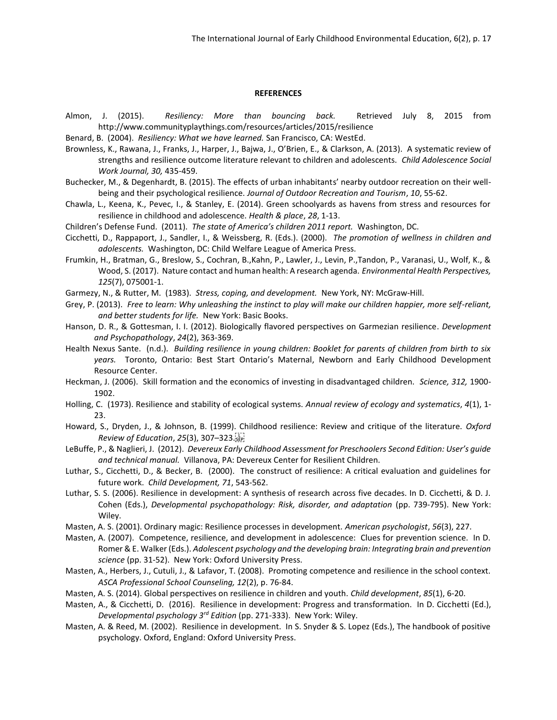#### **REFERENCES**

- Almon, J. (2015). *Resiliency: More than bouncing back.* Retrieved July 8, 2015 from http://www.communityplaythings.com/resources/articles/2015/resilience
- Benard, B. (2004). *Resiliency: What we have learned.* San Francisco, CA: WestEd.
- Brownless, K., Rawana, J., Franks, J., Harper, J., Bajwa, J., O'Brien, E., & Clarkson, A. (2013). A systematic review of strengths and resilience outcome literature relevant to children and adolescents. *Child Adolescence Social Work Journal, 30,* 435-459.
- Buchecker, M., & Degenhardt, B. (2015). The effects of urban inhabitants' nearby outdoor recreation on their wellbeing and their psychological resilience. *Journal of Outdoor Recreation and Tourism*, *10*, 55-62.
- Chawla, L., Keena, K., Pevec, I., & Stanley, E. (2014). Green schoolyards as havens from stress and resources for resilience in childhood and adolescence. *Health & place*, *28*, 1-13.
- Children's Defense Fund. (2011). *The state of America's children 2011 report.* Washington, DC.
- Cicchetti, D., Rappaport, J., Sandler, I., & Weissberg, R. (Eds.). (2000). *The promotion of wellness in children and adolescents.* Washington, DC: Child Welfare League of America Press.
- Frumkin, H., Bratman, G., Breslow, S., Cochran, B.,Kahn, P., Lawler, J., Levin, P.,Tandon, P., Varanasi, U., Wolf, K., & Wood, S. (2017). Nature contact and human health: A research agenda. *Environmental Health Perspectives, 125*(7), 075001-1.
- Garmezy, N., & Rutter, M. (1983). *Stress, coping, and development.* New York, NY: McGraw-Hill.
- Grey, P. (2013). *Free to learn: Why unleashing the instinct to play will make our children happier, more self-reliant, and better students for life.* New York: Basic Books.
- Hanson, D. R., & Gottesman, I. I. (2012). Biologically flavored perspectives on Garmezian resilience. *Development and Psychopathology*, *24*(2), 363-369.
- Health Nexus Sante. (n.d.). *Building resilience in young children: Booklet for parents of children from birth to six years.* Toronto, Ontario: Best Start Ontario's Maternal, Newborn and Early Childhood Development Resource Center.
- Heckman, J. (2006). Skill formation and the economics of investing in disadvantaged children. *Science, 312,* 1900- 1902.
- Holling, C. (1973). Resilience and stability of ecological systems. *Annual review of ecology and systematics*, *4*(1), 1- 23.
- Howard, S., Dryden, J., & Johnson, B. (1999). Childhood resilience: Review and critique of the literature. *Oxford Review of Education*, *25*(3), 307–323.
- LeBuffe, P., & Naglieri, J. (2012). *Devereux Early Childhood Assessment for Preschoolers Second Edition: User's guide and technical manual.* Villanova, PA: Devereux Center for Resilient Children.
- Luthar, S., Cicchetti, D., & Becker, B. (2000). The construct of resilience: A critical evaluation and guidelines for future work. *Child Development, 71*, 543-562.
- Luthar, S. S. (2006). Resilience in development: A synthesis of research across five decades. In D. Cicchetti, & D. J. Cohen (Eds.), *Developmental psychopathology: Risk, disorder, and adaptation* (pp. 739-795). New York: Wiley.
- Masten, A. S. (2001). Ordinary magic: Resilience processes in development. *American psychologist*, *56*(3), 227.
- Masten, A. (2007). Competence, resilience, and development in adolescence: Clues for prevention science. In D. Romer & E. Walker (Eds.). *Adolescent psychology and the developing brain: Integrating brain and prevention science* (pp. 31-52). New York: Oxford University Press.
- Masten, A., Herbers, J., Cutuli, J., & Lafavor, T. (2008). Promoting competence and resilience in the school context. *ASCA Professional School Counseling, 12*(2), p. 76-84.
- Masten, A. S. (2014). Global perspectives on resilience in children and youth. *Child development*, *85*(1), 6-20.
- Masten, A., & Cicchetti, D. (2016). Resilience in development: Progress and transformation. In D. Cicchetti (Ed.), *Developmental psychology 3rd Edition* (pp. 271-333). New York: Wiley.
- Masten, A. & Reed, M. (2002). Resilience in development. In S. Snyder & S. Lopez (Eds.), The handbook of positive psychology. Oxford, England: Oxford University Press.